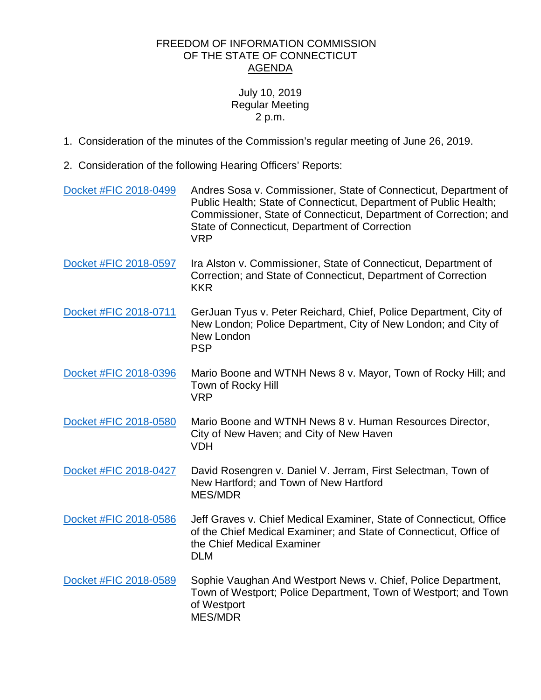## FREEDOM OF INFORMATION COMMISSION OF THE STATE OF CONNECTICUT AGENDA

## July 10, 2019 Regular Meeting 2 p.m.

- 1. Consideration of the minutes of the Commission's regular meeting of June 26, 2019.
- 2. Consideration of the following Hearing Officers' Reports:

| Docket #FIC 2018-0499 | Andres Sosa v. Commissioner, State of Connecticut, Department of<br>Public Health; State of Connecticut, Department of Public Health;<br>Commissioner, State of Connecticut, Department of Correction; and<br>State of Connecticut, Department of Correction<br><b>VRP</b> |
|-----------------------|----------------------------------------------------------------------------------------------------------------------------------------------------------------------------------------------------------------------------------------------------------------------------|
| Docket #FIC 2018-0597 | Ira Alston v. Commissioner, State of Connecticut, Department of<br>Correction; and State of Connecticut, Department of Correction<br><b>KKR</b>                                                                                                                            |
| Docket #FIC 2018-0711 | GerJuan Tyus v. Peter Reichard, Chief, Police Department, City of<br>New London; Police Department, City of New London; and City of<br>New London<br><b>PSP</b>                                                                                                            |
| Docket #FIC 2018-0396 | Mario Boone and WTNH News 8 v. Mayor, Town of Rocky Hill; and<br>Town of Rocky Hill<br><b>VRP</b>                                                                                                                                                                          |
| Docket #FIC 2018-0580 | Mario Boone and WTNH News 8 v. Human Resources Director,<br>City of New Haven; and City of New Haven<br><b>VDH</b>                                                                                                                                                         |
| Docket #FIC 2018-0427 | David Rosengren v. Daniel V. Jerram, First Selectman, Town of<br>New Hartford; and Town of New Hartford<br><b>MES/MDR</b>                                                                                                                                                  |
| Docket #FIC 2018-0586 | Jeff Graves v. Chief Medical Examiner, State of Connecticut, Office<br>of the Chief Medical Examiner; and State of Connecticut, Office of<br>the Chief Medical Examiner<br><b>DLM</b>                                                                                      |
| Docket #FIC 2018-0589 | Sophie Vaughan And Westport News v. Chief, Police Department,<br>Town of Westport; Police Department, Town of Westport; and Town<br>of Westport<br><b>MES/MDR</b>                                                                                                          |